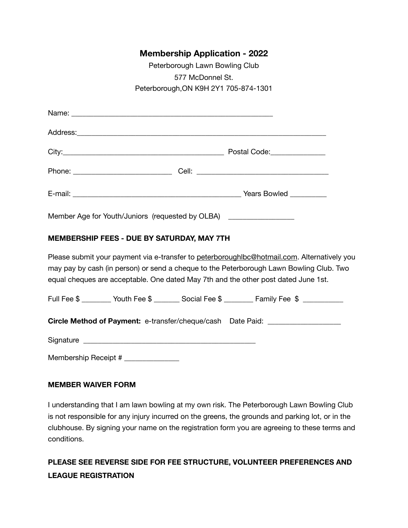## **Membership Application - 2022**

| Peterborough Lawn Bowling Club        |
|---------------------------------------|
| 577 McDonnel St.                      |
| Peterborough, ON K9H 2Y1 705-874-1301 |

| Member Age for Youth/Juniors (requested by OLBA) ___________________                                                                                                                                                                                                         |                                                                                            |  |  |
|------------------------------------------------------------------------------------------------------------------------------------------------------------------------------------------------------------------------------------------------------------------------------|--------------------------------------------------------------------------------------------|--|--|
| MEMBERSHIP FEES - DUE BY SATURDAY, MAY 7TH                                                                                                                                                                                                                                   |                                                                                            |  |  |
| Please submit your payment via e-transfer to peterboroughlbc@hotmail.com. Alternatively you<br>may pay by cash (in person) or send a cheque to the Peterborough Lawn Bowling Club. Two<br>equal cheques are acceptable. One dated May 7th and the other post dated June 1st. |                                                                                            |  |  |
|                                                                                                                                                                                                                                                                              | Full Fee \$ _________ Youth Fee \$ _______ Social Fee \$ ________ Family Fee \$ __________ |  |  |
|                                                                                                                                                                                                                                                                              | Circle Method of Payment: e-transfer/cheque/cash Date Paid: ____________________           |  |  |
|                                                                                                                                                                                                                                                                              |                                                                                            |  |  |

Membership Receipt # \_\_\_\_\_\_\_\_\_\_\_\_\_\_\_\_

#### **MEMBER WAIVER FORM**

I understanding that I am lawn bowling at my own risk. The Peterborough Lawn Bowling Club is not responsible for any injury incurred on the greens, the grounds and parking lot, or in the clubhouse. By signing your name on the registration form you are agreeing to these terms and conditions.

# **PLEASE SEE REVERSE SIDE FOR FEE STRUCTURE, VOLUNTEER PREFERENCES AND LEAGUE REGISTRATION**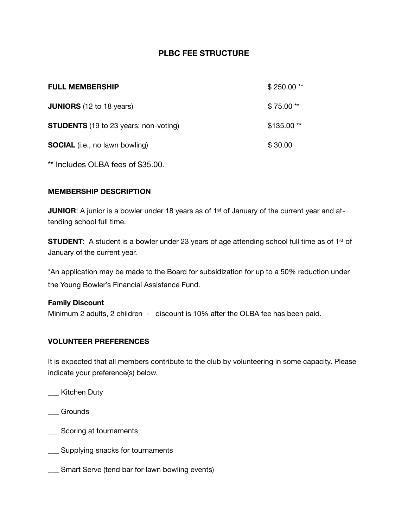### **PLBC FEE STRUCTURE**

| <b>FULL MEMBERSHIP</b>                       | $$250.00**$ |
|----------------------------------------------|-------------|
| <b>JUNIORS</b> (12 to 18 years)              | $$75.00**$  |
| <b>STUDENTS</b> (19 to 23 years; non-voting) | $$135.00**$ |
| <b>SOCIAL</b> (i.e., no lawn bowling)        | \$30.00     |

\*\* Includes OLBA fees of \$35.00.

### **MEMBERSHIP DESCRIPTION**

**JUNIOR:** A junior is a bowler under 18 years as of 1<sup>st</sup> of January of the current year and attending school full time.

**STUDENT:** A student is a bowler under 23 years of age attending school full time as of 1<sup>st</sup> of January of the current year.

\*An application may be made to the Board for subsidization for up to a 50% reduction under the Young Bowler's Financial Assistance Fund.

#### **Family Discount**

Minimum 2 adults, 2 children - discount is 10% after the OLBA fee has been paid.

#### **VOLUNTEER PREFERENCES**

It is expected that all members contribute to the club by volunteering in some capacity. Please indicate your preference(s) below.

- \_\_\_ Kitchen Duty
- **Grounds**
- \_\_\_ Scoring at tournaments
- **\_\_\_** Supplying snacks for tournaments
- \_\_\_ Smart Serve (tend bar for lawn bowling events)